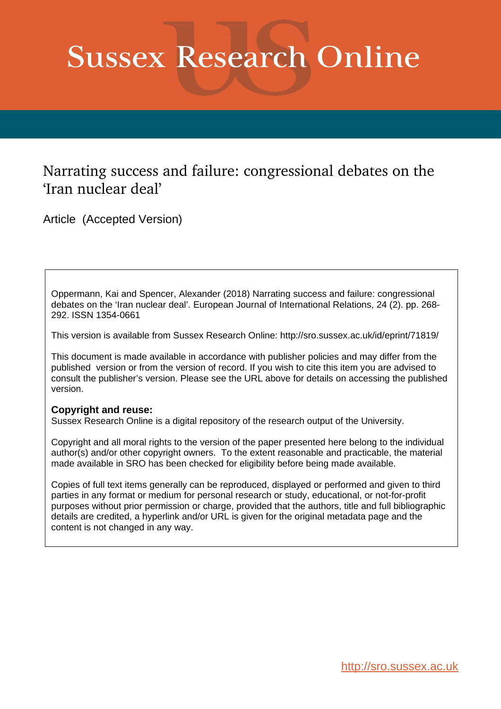# **Sussex Research Online**

## Narrating success and failure: congressional debates on the 'Iran nuclear deal'

Article (Accepted Version)

Oppermann, Kai and Spencer, Alexander (2018) Narrating success and failure: congressional debates on the 'Iran nuclear deal'. European Journal of International Relations, 24 (2). pp. 268- 292. ISSN 1354-0661

This version is available from Sussex Research Online: http://sro.sussex.ac.uk/id/eprint/71819/

This document is made available in accordance with publisher policies and may differ from the published version or from the version of record. If you wish to cite this item you are advised to consult the publisher's version. Please see the URL above for details on accessing the published version.

### **Copyright and reuse:**

Sussex Research Online is a digital repository of the research output of the University.

Copyright and all moral rights to the version of the paper presented here belong to the individual author(s) and/or other copyright owners. To the extent reasonable and practicable, the material made available in SRO has been checked for eligibility before being made available.

Copies of full text items generally can be reproduced, displayed or performed and given to third parties in any format or medium for personal research or study, educational, or not-for-profit purposes without prior permission or charge, provided that the authors, title and full bibliographic details are credited, a hyperlink and/or URL is given for the original metadata page and the content is not changed in any way.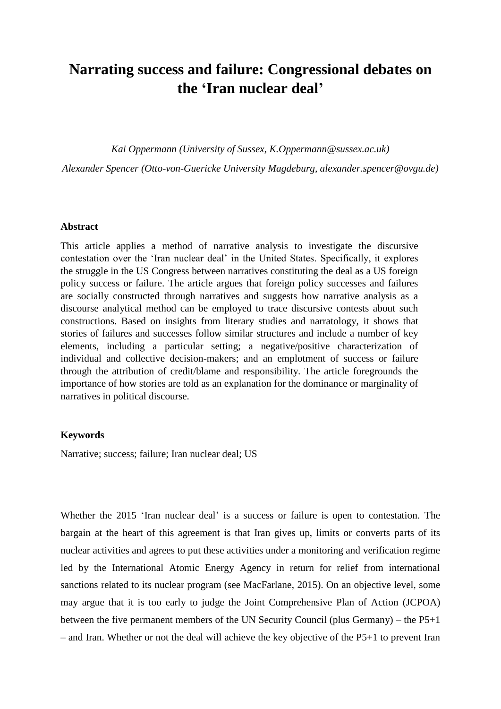## **Narrating success and failure: Congressional debates on the 'Iran nuclear deal'**

*Kai Oppermann (University of Sussex, K.Oppermann@sussex.ac.uk)* 

*Alexander Spencer (Otto-von-Guericke University Magdeburg, alexander.spencer@ovgu.de)*

#### **Abstract**

This article applies a method of narrative analysis to investigate the discursive contestation over the 'Iran nuclear deal' in the United States. Specifically, it explores the struggle in the US Congress between narratives constituting the deal as a US foreign policy success or failure. The article argues that foreign policy successes and failures are socially constructed through narratives and suggests how narrative analysis as a discourse analytical method can be employed to trace discursive contests about such constructions. Based on insights from literary studies and narratology, it shows that stories of failures and successes follow similar structures and include a number of key elements, including a particular setting; a negative/positive characterization of individual and collective decision-makers; and an emplotment of success or failure through the attribution of credit/blame and responsibility. The article foregrounds the importance of how stories are told as an explanation for the dominance or marginality of narratives in political discourse.

#### **Keywords**

Narrative; success; failure; Iran nuclear deal; US

Whether the 2015 'Iran nuclear deal' is a success or failure is open to contestation. The bargain at the heart of this agreement is that Iran gives up, limits or converts parts of its nuclear activities and agrees to put these activities under a monitoring and verification regime led by the International Atomic Energy Agency in return for relief from international sanctions related to its nuclear program (see MacFarlane, 2015). On an objective level, some may argue that it is too early to judge the Joint Comprehensive Plan of Action (JCPOA) between the five permanent members of the UN Security Council (plus Germany) – the P5+1 – and Iran. Whether or not the deal will achieve the key objective of the P5+1 to prevent Iran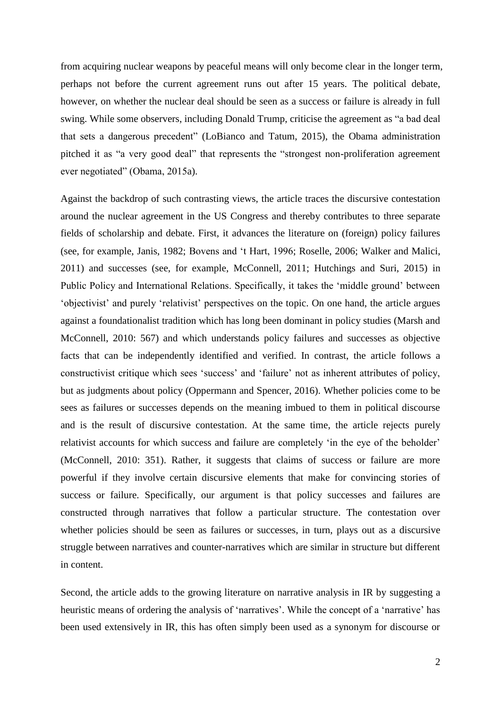from acquiring nuclear weapons by peaceful means will only become clear in the longer term, perhaps not before the current agreement runs out after 15 years. The political debate, however, on whether the nuclear deal should be seen as a success or failure is already in full swing. While some observers, including Donald Trump, criticise the agreement as "a bad deal that sets a dangerous precedent" (LoBianco and Tatum, 2015), the Obama administration pitched it as "a very good deal" that represents the "strongest non-proliferation agreement ever negotiated" (Obama, 2015a).

Against the backdrop of such contrasting views, the article traces the discursive contestation around the nuclear agreement in the US Congress and thereby contributes to three separate fields of scholarship and debate. First, it advances the literature on (foreign) policy failures (see, for example, Janis, 1982; Bovens and 't Hart, 1996; Roselle, 2006; Walker and Malici, 2011) and successes (see, for example, McConnell, 2011; Hutchings and Suri, 2015) in Public Policy and International Relations. Specifically, it takes the 'middle ground' between 'objectivist' and purely 'relativist' perspectives on the topic. On one hand, the article argues against a foundationalist tradition which has long been dominant in policy studies (Marsh and McConnell, 2010: 567) and which understands policy failures and successes as objective facts that can be independently identified and verified. In contrast, the article follows a constructivist critique which sees 'success' and 'failure' not as inherent attributes of policy, but as judgments about policy (Oppermann and Spencer, 2016). Whether policies come to be sees as failures or successes depends on the meaning imbued to them in political discourse and is the result of discursive contestation. At the same time, the article rejects purely relativist accounts for which success and failure are completely 'in the eye of the beholder' (McConnell, 2010: 351). Rather, it suggests that claims of success or failure are more powerful if they involve certain discursive elements that make for convincing stories of success or failure. Specifically, our argument is that policy successes and failures are constructed through narratives that follow a particular structure. The contestation over whether policies should be seen as failures or successes, in turn, plays out as a discursive struggle between narratives and counter-narratives which are similar in structure but different in content.

Second, the article adds to the growing literature on narrative analysis in IR by suggesting a heuristic means of ordering the analysis of 'narratives'. While the concept of a 'narrative' has been used extensively in IR, this has often simply been used as a synonym for discourse or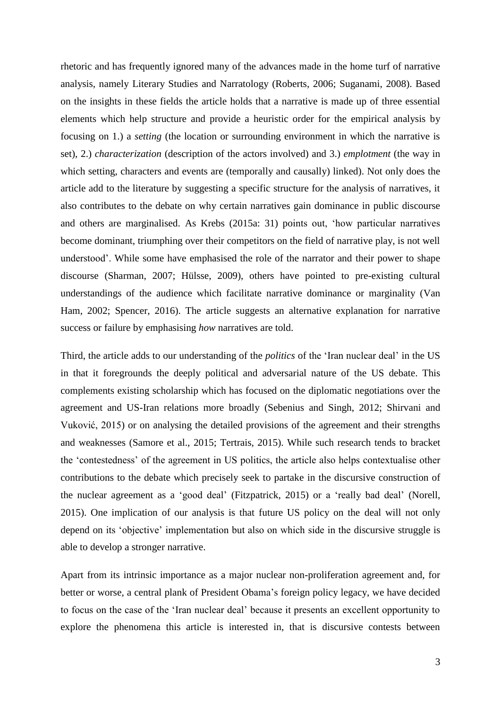rhetoric and has frequently ignored many of the advances made in the home turf of narrative analysis, namely Literary Studies and Narratology (Roberts, 2006; Suganami, 2008). Based on the insights in these fields the article holds that a narrative is made up of three essential elements which help structure and provide a heuristic order for the empirical analysis by focusing on 1.) a *setting* (the location or surrounding environment in which the narrative is set), 2.) *characterization* (description of the actors involved) and 3.) *emplotment* (the way in which setting, characters and events are (temporally and causally) linked). Not only does the article add to the literature by suggesting a specific structure for the analysis of narratives, it also contributes to the debate on why certain narratives gain dominance in public discourse and others are marginalised. As Krebs (2015a: 31) points out, 'how particular narratives become dominant, triumphing over their competitors on the field of narrative play, is not well understood'. While some have emphasised the role of the narrator and their power to shape discourse (Sharman, 2007; Hülsse, 2009), others have pointed to pre-existing cultural understandings of the audience which facilitate narrative dominance or marginality (Van Ham, 2002; Spencer, 2016). The article suggests an alternative explanation for narrative success or failure by emphasising *how* narratives are told.

Third, the article adds to our understanding of the *politics* of the 'Iran nuclear deal' in the US in that it foregrounds the deeply political and adversarial nature of the US debate. This complements existing scholarship which has focused on the diplomatic negotiations over the agreement and US-Iran relations more broadly (Sebenius and Singh, 2012; Shirvani and Vuković, 2015) or on analysing the detailed provisions of the agreement and their strengths and weaknesses (Samore et al., 2015; Tertrais, 2015). While such research tends to bracket the 'contestedness' of the agreement in US politics, the article also helps contextualise other contributions to the debate which precisely seek to partake in the discursive construction of the nuclear agreement as a 'good deal' (Fitzpatrick, 2015) or a 'really bad deal' (Norell, 2015). One implication of our analysis is that future US policy on the deal will not only depend on its 'objective' implementation but also on which side in the discursive struggle is able to develop a stronger narrative.

Apart from its intrinsic importance as a major nuclear non-proliferation agreement and, for better or worse, a central plank of President Obama's foreign policy legacy, we have decided to focus on the case of the 'Iran nuclear deal' because it presents an excellent opportunity to explore the phenomena this article is interested in, that is discursive contests between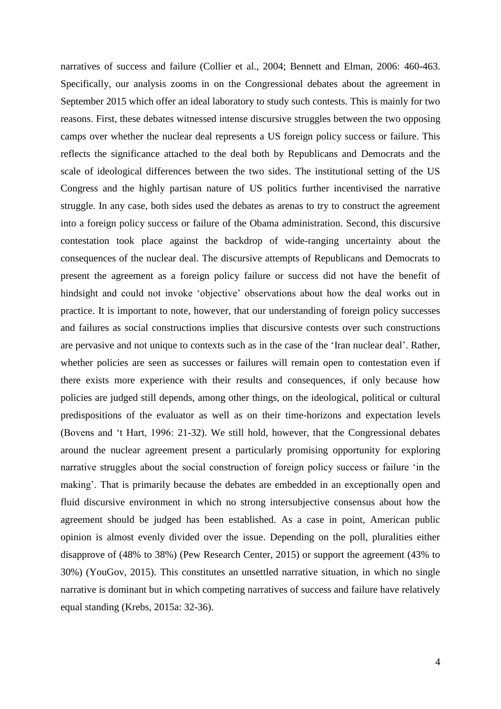narratives of success and failure (Collier et al., 2004; Bennett and Elman, 2006: 460-463. Specifically, our analysis zooms in on the Congressional debates about the agreement in September 2015 which offer an ideal laboratory to study such contests. This is mainly for two reasons. First, these debates witnessed intense discursive struggles between the two opposing camps over whether the nuclear deal represents a US foreign policy success or failure. This reflects the significance attached to the deal both by Republicans and Democrats and the scale of ideological differences between the two sides. The institutional setting of the US Congress and the highly partisan nature of US politics further incentivised the narrative struggle. In any case, both sides used the debates as arenas to try to construct the agreement into a foreign policy success or failure of the Obama administration. Second, this discursive contestation took place against the backdrop of wide-ranging uncertainty about the consequences of the nuclear deal. The discursive attempts of Republicans and Democrats to present the agreement as a foreign policy failure or success did not have the benefit of hindsight and could not invoke 'objective' observations about how the deal works out in practice. It is important to note, however, that our understanding of foreign policy successes and failures as social constructions implies that discursive contests over such constructions are pervasive and not unique to contexts such as in the case of the 'Iran nuclear deal'. Rather, whether policies are seen as successes or failures will remain open to contestation even if there exists more experience with their results and consequences, if only because how policies are judged still depends, among other things, on the ideological, political or cultural predispositions of the evaluator as well as on their time-horizons and expectation levels (Bovens and 't Hart, 1996: 21-32). We still hold, however, that the Congressional debates around the nuclear agreement present a particularly promising opportunity for exploring narrative struggles about the social construction of foreign policy success or failure 'in the making'. That is primarily because the debates are embedded in an exceptionally open and fluid discursive environment in which no strong intersubjective consensus about how the agreement should be judged has been established. As a case in point, American public opinion is almost evenly divided over the issue. Depending on the poll, pluralities either disapprove of (48% to 38%) (Pew Research Center, 2015) or support the agreement (43% to 30%) (YouGov, 2015). This constitutes an unsettled narrative situation, in which no single narrative is dominant but in which competing narratives of success and failure have relatively equal standing (Krebs, 2015a: 32-36).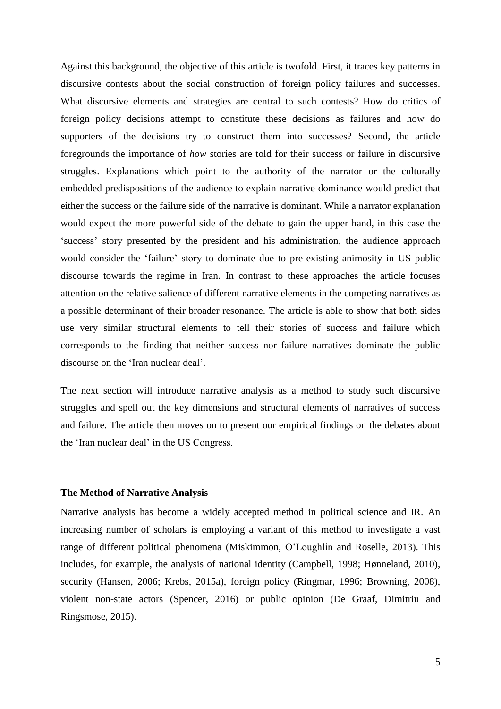Against this background, the objective of this article is twofold. First, it traces key patterns in discursive contests about the social construction of foreign policy failures and successes. What discursive elements and strategies are central to such contests? How do critics of foreign policy decisions attempt to constitute these decisions as failures and how do supporters of the decisions try to construct them into successes? Second, the article foregrounds the importance of *how* stories are told for their success or failure in discursive struggles. Explanations which point to the authority of the narrator or the culturally embedded predispositions of the audience to explain narrative dominance would predict that either the success or the failure side of the narrative is dominant. While a narrator explanation would expect the more powerful side of the debate to gain the upper hand, in this case the 'success' story presented by the president and his administration, the audience approach would consider the 'failure' story to dominate due to pre-existing animosity in US public discourse towards the regime in Iran. In contrast to these approaches the article focuses attention on the relative salience of different narrative elements in the competing narratives as a possible determinant of their broader resonance. The article is able to show that both sides use very similar structural elements to tell their stories of success and failure which corresponds to the finding that neither success nor failure narratives dominate the public discourse on the 'Iran nuclear deal'.

The next section will introduce narrative analysis as a method to study such discursive struggles and spell out the key dimensions and structural elements of narratives of success and failure. The article then moves on to present our empirical findings on the debates about the 'Iran nuclear deal' in the US Congress.

#### **The Method of Narrative Analysis**

Narrative analysis has become a widely accepted method in political science and IR. An increasing number of scholars is employing a variant of this method to investigate a vast range of different political phenomena (Miskimmon, O'Loughlin and Roselle, 2013). This includes, for example, the analysis of national identity (Campbell, 1998; Hønneland, 2010), security (Hansen, 2006; Krebs, 2015a), foreign policy (Ringmar, 1996; Browning, 2008), violent non-state actors (Spencer, 2016) or public opinion (De Graaf, Dimitriu and Ringsmose, 2015).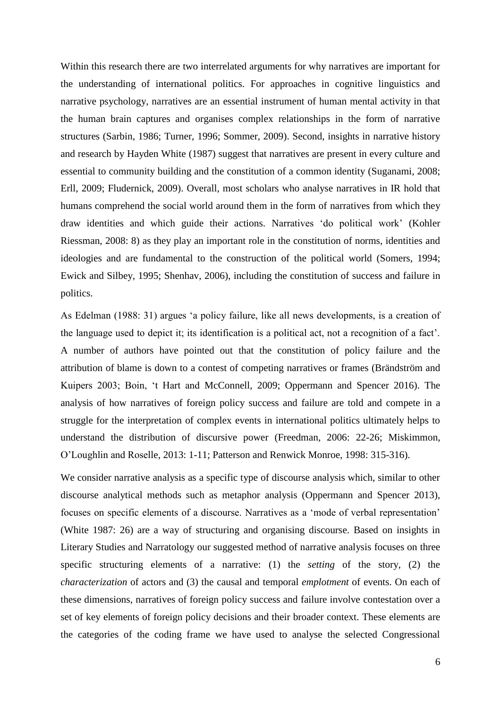Within this research there are two interrelated arguments for why narratives are important for the understanding of international politics. For approaches in cognitive linguistics and narrative psychology, narratives are an essential instrument of human mental activity in that the human brain captures and organises complex relationships in the form of narrative structures (Sarbin, 1986; Turner, 1996; Sommer, 2009). Second, insights in narrative history and research by Hayden White (1987) suggest that narratives are present in every culture and essential to community building and the constitution of a common identity (Suganami, 2008; Erll, 2009; Fludernick, 2009). Overall, most scholars who analyse narratives in IR hold that humans comprehend the social world around them in the form of narratives from which they draw identities and which guide their actions. Narratives 'do political work' (Kohler Riessman, 2008: 8) as they play an important role in the constitution of norms, identities and ideologies and are fundamental to the construction of the political world (Somers, 1994; Ewick and Silbey, 1995; Shenhav, 2006), including the constitution of success and failure in politics.

As Edelman (1988: 31) argues 'a policy failure, like all news developments, is a creation of the language used to depict it; its identification is a political act, not a recognition of a fact'. A number of authors have pointed out that the constitution of policy failure and the attribution of blame is down to a contest of competing narratives or frames (Brändström and Kuipers 2003; Boin, 't Hart and McConnell, 2009; Oppermann and Spencer 2016). The analysis of how narratives of foreign policy success and failure are told and compete in a struggle for the interpretation of complex events in international politics ultimately helps to understand the distribution of discursive power (Freedman, 2006: 22-26; Miskimmon, O'Loughlin and Roselle, 2013: 1-11; Patterson and Renwick Monroe, 1998: 315-316).

We consider narrative analysis as a specific type of discourse analysis which, similar to other discourse analytical methods such as metaphor analysis (Oppermann and Spencer 2013), focuses on specific elements of a discourse. Narratives as a 'mode of verbal representation' (White 1987: 26) are a way of structuring and organising discourse. Based on insights in Literary Studies and Narratology our suggested method of narrative analysis focuses on three specific structuring elements of a narrative: (1) the *setting* of the story, (2) the *characterization* of actors and (3) the causal and temporal *emplotment* of events. On each of these dimensions, narratives of foreign policy success and failure involve contestation over a set of key elements of foreign policy decisions and their broader context. These elements are the categories of the coding frame we have used to analyse the selected Congressional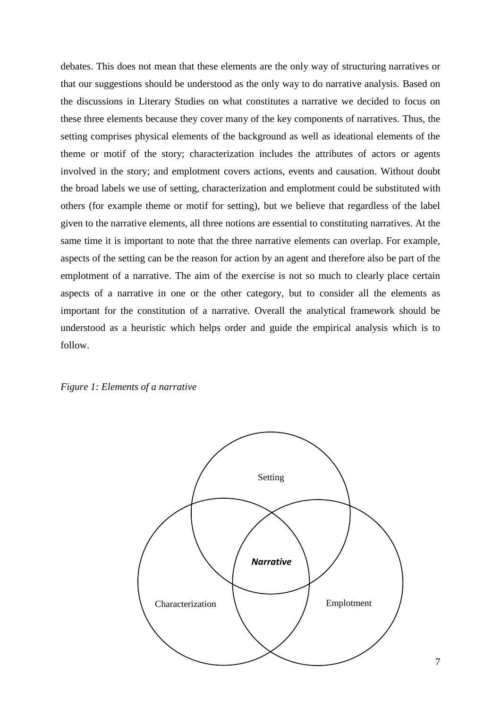debates. This does not mean that these elements are the only way of structuring narratives or that our suggestions should be understood as the only way to do narrative analysis. Based on the discussions in Literary Studies on what constitutes a narrative we decided to focus on these three elements because they cover many of the key components of narratives. Thus, the setting comprises physical elements of the background as well as ideational elements of the theme or motif of the story; characterization includes the attributes of actors or agents involved in the story; and emplotment covers actions, events and causation. Without doubt the broad labels we use of setting, characterization and emplotment could be substituted with others (for example theme or motif for setting), but we believe that regardless of the label given to the narrative elements, all three notions are essential to constituting narratives. At the same time it is important to note that the three narrative elements can overlap. For example, aspects of the setting can be the reason for action by an agent and therefore also be part of the emplotment of a narrative. The aim of the exercise is not so much to clearly place certain aspects of a narrative in one or the other category, but to consider all the elements as important for the constitution of a narrative. Overall the analytical framework should be understood as a heuristic which helps order and guide the empirical analysis which is to follow.



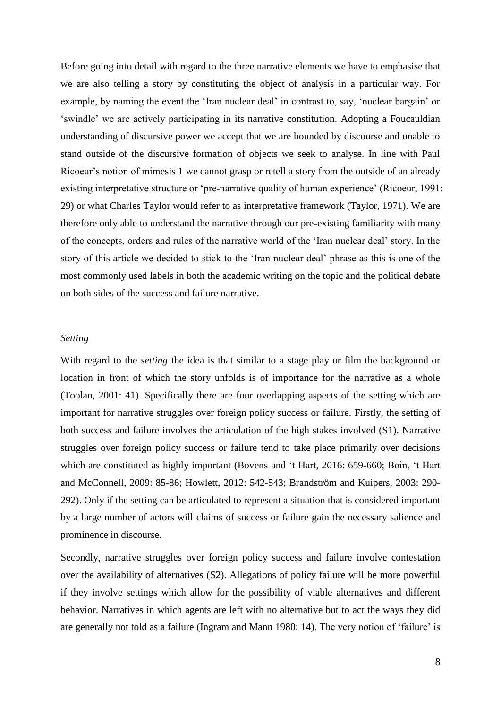Before going into detail with regard to the three narrative elements we have to emphasise that we are also telling a story by constituting the object of analysis in a particular way. For example, by naming the event the 'Iran nuclear deal' in contrast to, say, 'nuclear bargain' or 'swindle' we are actively participating in its narrative constitution. Adopting a Foucauldian understanding of discursive power we accept that we are bounded by discourse and unable to stand outside of the discursive formation of objects we seek to analyse. In line with Paul Ricoeur's notion of mimesis 1 we cannot grasp or retell a story from the outside of an already existing interpretative structure or 'pre-narrative quality of human experience' (Ricoeur, 1991: 29) or what Charles Taylor would refer to as interpretative framework (Taylor, 1971). We are therefore only able to understand the narrative through our pre-existing familiarity with many of the concepts, orders and rules of the narrative world of the 'Iran nuclear deal' story. In the story of this article we decided to stick to the 'Iran nuclear deal' phrase as this is one of the most commonly used labels in both the academic writing on the topic and the political debate on both sides of the success and failure narrative.

#### *Setting*

With regard to the *setting* the idea is that similar to a stage play or film the background or location in front of which the story unfolds is of importance for the narrative as a whole (Toolan, 2001: 41). Specifically there are four overlapping aspects of the setting which are important for narrative struggles over foreign policy success or failure. Firstly, the setting of both success and failure involves the articulation of the high stakes involved (S1). Narrative struggles over foreign policy success or failure tend to take place primarily over decisions which are constituted as highly important (Bovens and 't Hart, 2016: 659-660; Boin, 't Hart and McConnell, 2009: 85-86; Howlett, 2012: 542-543; Brandström and Kuipers, 2003: 290- 292). Only if the setting can be articulated to represent a situation that is considered important by a large number of actors will claims of success or failure gain the necessary salience and prominence in discourse.

Secondly, narrative struggles over foreign policy success and failure involve contestation over the availability of alternatives (S2). Allegations of policy failure will be more powerful if they involve settings which allow for the possibility of viable alternatives and different behavior. Narratives in which agents are left with no alternative but to act the ways they did are generally not told as a failure (Ingram and Mann 1980: 14). The very notion of 'failure' is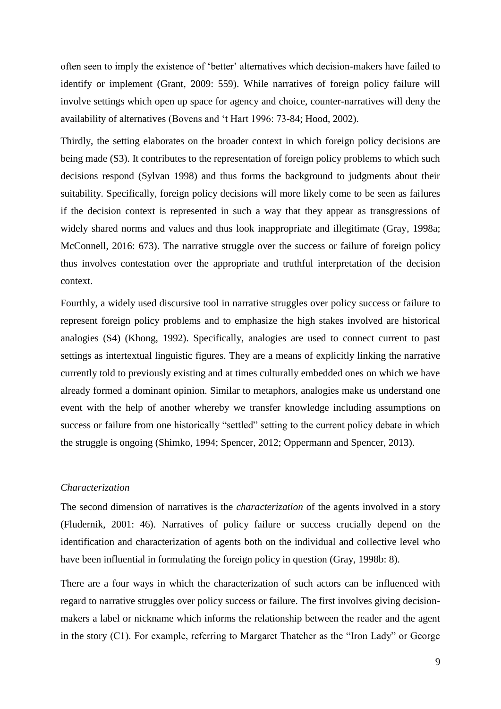often seen to imply the existence of 'better' alternatives which decision-makers have failed to identify or implement (Grant, 2009: 559). While narratives of foreign policy failure will involve settings which open up space for agency and choice, counter-narratives will deny the availability of alternatives (Bovens and 't Hart 1996: 73-84; Hood, 2002).

Thirdly, the setting elaborates on the broader context in which foreign policy decisions are being made (S3). It contributes to the representation of foreign policy problems to which such decisions respond (Sylvan 1998) and thus forms the background to judgments about their suitability. Specifically, foreign policy decisions will more likely come to be seen as failures if the decision context is represented in such a way that they appear as transgressions of widely shared norms and values and thus look inappropriate and illegitimate (Gray, 1998a; McConnell, 2016: 673). The narrative struggle over the success or failure of foreign policy thus involves contestation over the appropriate and truthful interpretation of the decision context.

Fourthly, a widely used discursive tool in narrative struggles over policy success or failure to represent foreign policy problems and to emphasize the high stakes involved are historical analogies (S4) (Khong, 1992). Specifically, analogies are used to connect current to past settings as intertextual linguistic figures. They are a means of explicitly linking the narrative currently told to previously existing and at times culturally embedded ones on which we have already formed a dominant opinion. Similar to metaphors, analogies make us understand one event with the help of another whereby we transfer knowledge including assumptions on success or failure from one historically "settled" setting to the current policy debate in which the struggle is ongoing (Shimko, 1994; Spencer, 2012; Oppermann and Spencer, 2013).

#### *Characterization*

The second dimension of narratives is the *characterization* of the agents involved in a story (Fludernik, 2001: 46). Narratives of policy failure or success crucially depend on the identification and characterization of agents both on the individual and collective level who have been influential in formulating the foreign policy in question (Gray, 1998b: 8).

There are a four ways in which the characterization of such actors can be influenced with regard to narrative struggles over policy success or failure. The first involves giving decisionmakers a label or nickname which informs the relationship between the reader and the agent in the story (C1). For example, referring to Margaret Thatcher as the "Iron Lady" or George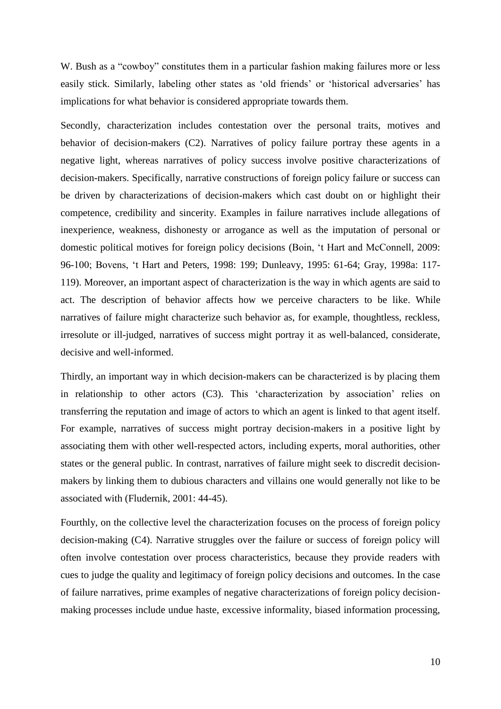W. Bush as a "cowboy" constitutes them in a particular fashion making failures more or less easily stick. Similarly, labeling other states as 'old friends' or 'historical adversaries' has implications for what behavior is considered appropriate towards them.

Secondly, characterization includes contestation over the personal traits, motives and behavior of decision-makers (C2). Narratives of policy failure portray these agents in a negative light, whereas narratives of policy success involve positive characterizations of decision-makers. Specifically, narrative constructions of foreign policy failure or success can be driven by characterizations of decision-makers which cast doubt on or highlight their competence, credibility and sincerity. Examples in failure narratives include allegations of inexperience, weakness, dishonesty or arrogance as well as the imputation of personal or domestic political motives for foreign policy decisions (Boin, 't Hart and McConnell, 2009: 96-100; Bovens, 't Hart and Peters, 1998: 199; Dunleavy, 1995: 61-64; Gray, 1998a: 117- 119). Moreover, an important aspect of characterization is the way in which agents are said to act. The description of behavior affects how we perceive characters to be like. While narratives of failure might characterize such behavior as, for example, thoughtless, reckless, irresolute or ill-judged, narratives of success might portray it as well-balanced, considerate, decisive and well-informed.

Thirdly, an important way in which decision-makers can be characterized is by placing them in relationship to other actors (C3). This 'characterization by association' relies on transferring the reputation and image of actors to which an agent is linked to that agent itself. For example, narratives of success might portray decision-makers in a positive light by associating them with other well-respected actors, including experts, moral authorities, other states or the general public. In contrast, narratives of failure might seek to discredit decisionmakers by linking them to dubious characters and villains one would generally not like to be associated with (Fludernik, 2001: 44-45).

Fourthly, on the collective level the characterization focuses on the process of foreign policy decision-making (C4). Narrative struggles over the failure or success of foreign policy will often involve contestation over process characteristics, because they provide readers with cues to judge the quality and legitimacy of foreign policy decisions and outcomes. In the case of failure narratives, prime examples of negative characterizations of foreign policy decisionmaking processes include undue haste, excessive informality, biased information processing,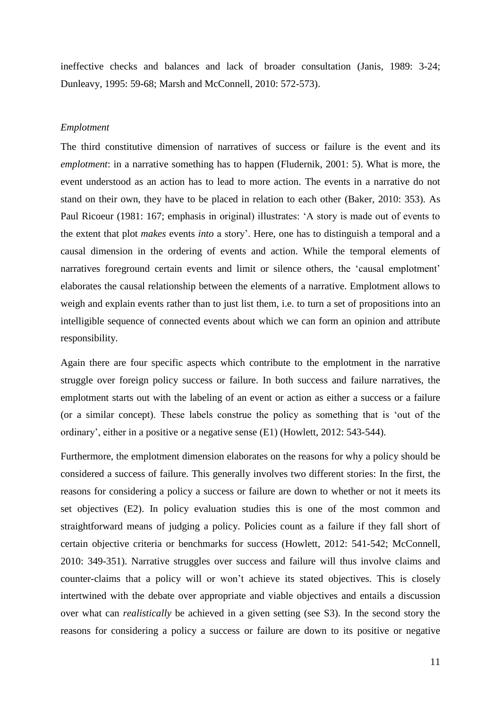ineffective checks and balances and lack of broader consultation (Janis, 1989: 3-24; Dunleavy, 1995: 59-68; Marsh and McConnell, 2010: 572-573).

#### *Emplotment*

The third constitutive dimension of narratives of success or failure is the event and its *emplotment*: in a narrative something has to happen (Fludernik, 2001: 5). What is more, the event understood as an action has to lead to more action. The events in a narrative do not stand on their own, they have to be placed in relation to each other (Baker, 2010: 353). As Paul Ricoeur (1981: 167; emphasis in original) illustrates: 'A story is made out of events to the extent that plot *makes* events *into* a story'. Here, one has to distinguish a temporal and a causal dimension in the ordering of events and action. While the temporal elements of narratives foreground certain events and limit or silence others, the 'causal emplotment' elaborates the causal relationship between the elements of a narrative. Emplotment allows to weigh and explain events rather than to just list them, i.e. to turn a set of propositions into an intelligible sequence of connected events about which we can form an opinion and attribute responsibility.

Again there are four specific aspects which contribute to the emplotment in the narrative struggle over foreign policy success or failure. In both success and failure narratives, the emplotment starts out with the labeling of an event or action as either a success or a failure (or a similar concept). These labels construe the policy as something that is 'out of the ordinary', either in a positive or a negative sense (E1) (Howlett, 2012: 543-544).

Furthermore, the emplotment dimension elaborates on the reasons for why a policy should be considered a success of failure. This generally involves two different stories: In the first, the reasons for considering a policy a success or failure are down to whether or not it meets its set objectives (E2). In policy evaluation studies this is one of the most common and straightforward means of judging a policy. Policies count as a failure if they fall short of certain objective criteria or benchmarks for success (Howlett, 2012: 541-542; McConnell, 2010: 349-351). Narrative struggles over success and failure will thus involve claims and counter-claims that a policy will or won't achieve its stated objectives. This is closely intertwined with the debate over appropriate and viable objectives and entails a discussion over what can *realistically* be achieved in a given setting (see S3). In the second story the reasons for considering a policy a success or failure are down to its positive or negative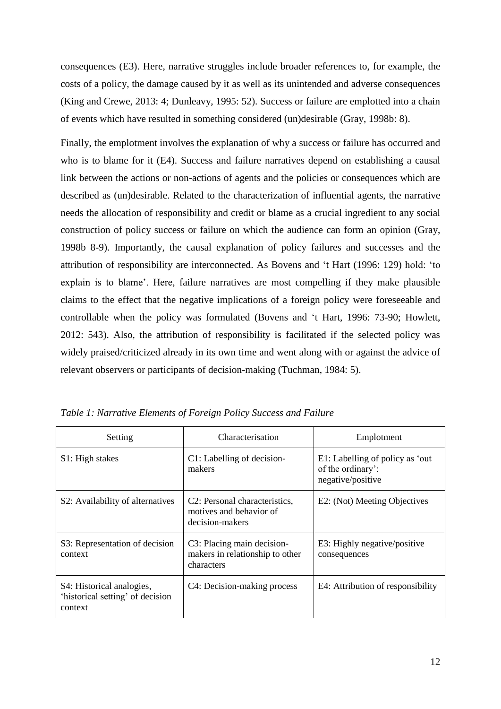consequences (E3). Here, narrative struggles include broader references to, for example, the costs of a policy, the damage caused by it as well as its unintended and adverse consequences (King and Crewe, 2013: 4; Dunleavy, 1995: 52). Success or failure are emplotted into a chain of events which have resulted in something considered (un)desirable (Gray, 1998b: 8).

Finally, the emplotment involves the explanation of why a success or failure has occurred and who is to blame for it (E4). Success and failure narratives depend on establishing a causal link between the actions or non-actions of agents and the policies or consequences which are described as (un)desirable. Related to the characterization of influential agents, the narrative needs the allocation of responsibility and credit or blame as a crucial ingredient to any social construction of policy success or failure on which the audience can form an opinion (Gray, 1998b 8-9). Importantly, the causal explanation of policy failures and successes and the attribution of responsibility are interconnected. As Bovens and 't Hart (1996: 129) hold: 'to explain is to blame'. Here, failure narratives are most compelling if they make plausible claims to the effect that the negative implications of a foreign policy were foreseeable and controllable when the policy was formulated (Bovens and 't Hart, 1996: 73-90; Howlett, 2012: 543). Also, the attribution of responsibility is facilitated if the selected policy was widely praised/criticized already in its own time and went along with or against the advice of relevant observers or participants of decision-making (Tuchman, 1984: 5).

| Setting                                                                  | Characterisation                                                                         | Emplotment                                                                |
|--------------------------------------------------------------------------|------------------------------------------------------------------------------------------|---------------------------------------------------------------------------|
| S1: High stakes                                                          | C1: Labelling of decision-<br>makers                                                     | E1: Labelling of policy as 'out<br>of the ordinary':<br>negative/positive |
| S2: Availability of alternatives                                         | C <sub>2</sub> : Personal characteristics,<br>motives and behavior of<br>decision-makers | E2: (Not) Meeting Objectives                                              |
| S3: Representation of decision<br>context                                | C3: Placing main decision-<br>makers in relationship to other<br>characters              | E3: Highly negative/positive<br>consequences                              |
| S4: Historical analogies,<br>'historical setting' of decision<br>context | C4: Decision-making process                                                              | E4: Attribution of responsibility                                         |

*Table 1: Narrative Elements of Foreign Policy Success and Failure*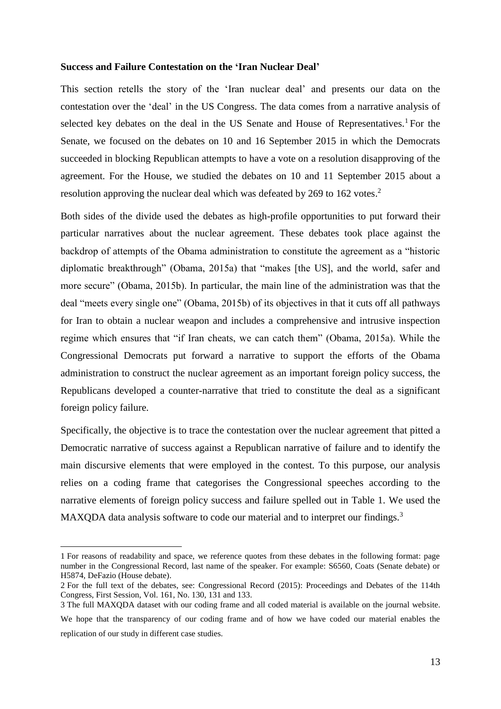#### **Success and Failure Contestation on the 'Iran Nuclear Deal'**

This section retells the story of the 'Iran nuclear deal' and presents our data on the contestation over the 'deal' in the US Congress. The data comes from a narrative analysis of selected key debates on the deal in the US Senate and House of Representatives.<sup>1</sup> For the Senate, we focused on the debates on 10 and 16 September 2015 in which the Democrats succeeded in blocking Republican attempts to have a vote on a resolution disapproving of the agreement. For the House, we studied the debates on 10 and 11 September 2015 about a resolution approving the nuclear deal which was defeated by 269 to 162 votes.<sup>2</sup>

Both sides of the divide used the debates as high-profile opportunities to put forward their particular narratives about the nuclear agreement. These debates took place against the backdrop of attempts of the Obama administration to constitute the agreement as a "historic diplomatic breakthrough" (Obama, 2015a) that "makes [the US], and the world, safer and more secure" (Obama, 2015b). In particular, the main line of the administration was that the deal "meets every single one" (Obama, 2015b) of its objectives in that it cuts off all pathways for Iran to obtain a nuclear weapon and includes a comprehensive and intrusive inspection regime which ensures that "if Iran cheats, we can catch them" (Obama, 2015a). While the Congressional Democrats put forward a narrative to support the efforts of the Obama administration to construct the nuclear agreement as an important foreign policy success, the Republicans developed a counter-narrative that tried to constitute the deal as a significant foreign policy failure.

Specifically, the objective is to trace the contestation over the nuclear agreement that pitted a Democratic narrative of success against a Republican narrative of failure and to identify the main discursive elements that were employed in the contest. To this purpose, our analysis relies on a coding frame that categorises the Congressional speeches according to the narrative elements of foreign policy success and failure spelled out in Table 1. We used the MAXQDA data analysis software to code our material and to interpret our findings.<sup>3</sup>

**.** 

<sup>1</sup> For reasons of readability and space, we reference quotes from these debates in the following format: page number in the Congressional Record, last name of the speaker. For example: S6560, Coats (Senate debate) or H5874, DeFazio (House debate).

<sup>2</sup> For the full text of the debates, see: Congressional Record (2015): Proceedings and Debates of the 114th Congress, First Session, Vol. 161, No. 130, 131 and 133.

<sup>3</sup> The full MAXQDA dataset with our coding frame and all coded material is available on the journal website. We hope that the transparency of our coding frame and of how we have coded our material enables the replication of our study in different case studies.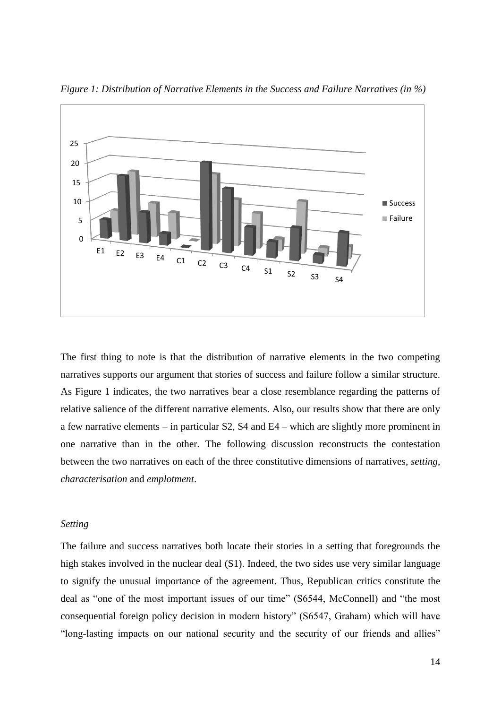

*Figure 1: Distribution of Narrative Elements in the Success and Failure Narratives (in %)*

The first thing to note is that the distribution of narrative elements in the two competing narratives supports our argument that stories of success and failure follow a similar structure. As Figure 1 indicates, the two narratives bear a close resemblance regarding the patterns of relative salience of the different narrative elements. Also, our results show that there are only a few narrative elements – in particular S2, S4 and E4 – which are slightly more prominent in one narrative than in the other. The following discussion reconstructs the contestation between the two narratives on each of the three constitutive dimensions of narratives, *setting*, *characterisation* and *emplotment*.

#### *Setting*

The failure and success narratives both locate their stories in a setting that foregrounds the high stakes involved in the nuclear deal (S1). Indeed, the two sides use very similar language to signify the unusual importance of the agreement. Thus, Republican critics constitute the deal as "one of the most important issues of our time" (S6544, McConnell) and "the most consequential foreign policy decision in modern history" (S6547, Graham) which will have "long-lasting impacts on our national security and the security of our friends and allies"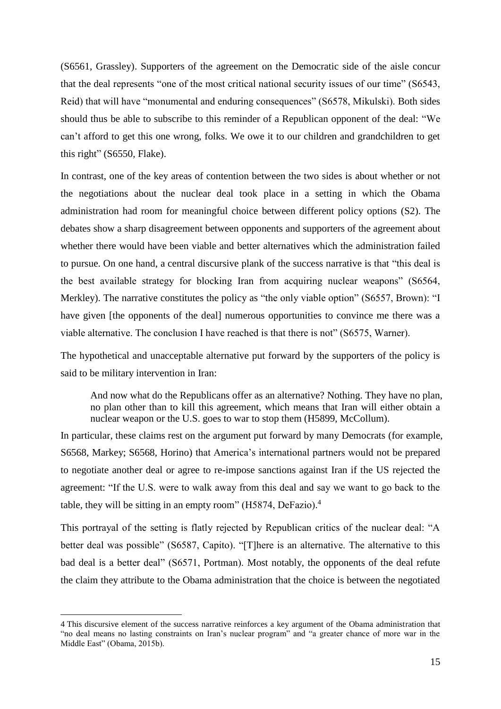(S6561, Grassley). Supporters of the agreement on the Democratic side of the aisle concur that the deal represents "one of the most critical national security issues of our time" (S6543, Reid) that will have "monumental and enduring consequences" (S6578, Mikulski). Both sides should thus be able to subscribe to this reminder of a Republican opponent of the deal: "We can't afford to get this one wrong, folks. We owe it to our children and grandchildren to get this right" (S6550, Flake).

In contrast, one of the key areas of contention between the two sides is about whether or not the negotiations about the nuclear deal took place in a setting in which the Obama administration had room for meaningful choice between different policy options (S2). The debates show a sharp disagreement between opponents and supporters of the agreement about whether there would have been viable and better alternatives which the administration failed to pursue. On one hand, a central discursive plank of the success narrative is that "this deal is the best available strategy for blocking Iran from acquiring nuclear weapons" (S6564, Merkley). The narrative constitutes the policy as "the only viable option" (S6557, Brown): "I have given [the opponents of the deal] numerous opportunities to convince me there was a viable alternative. The conclusion I have reached is that there is not" (S6575, Warner).

The hypothetical and unacceptable alternative put forward by the supporters of the policy is said to be military intervention in Iran:

And now what do the Republicans offer as an alternative? Nothing. They have no plan, no plan other than to kill this agreement, which means that Iran will either obtain a nuclear weapon or the U.S. goes to war to stop them (H5899, McCollum).

In particular, these claims rest on the argument put forward by many Democrats (for example, S6568, Markey; S6568, Horino) that America's international partners would not be prepared to negotiate another deal or agree to re-impose sanctions against Iran if the US rejected the agreement: "If the U.S. were to walk away from this deal and say we want to go back to the table, they will be sitting in an empty room" (H5874, DeFazio). 4

This portrayal of the setting is flatly rejected by Republican critics of the nuclear deal: "A better deal was possible" (S6587, Capito). "[T]here is an alternative. The alternative to this bad deal is a better deal" (S6571, Portman). Most notably, the opponents of the deal refute the claim they attribute to the Obama administration that the choice is between the negotiated

1

<sup>4</sup> This discursive element of the success narrative reinforces a key argument of the Obama administration that "no deal means no lasting constraints on Iran's nuclear program" and "a greater chance of more war in the Middle East" (Obama, 2015b).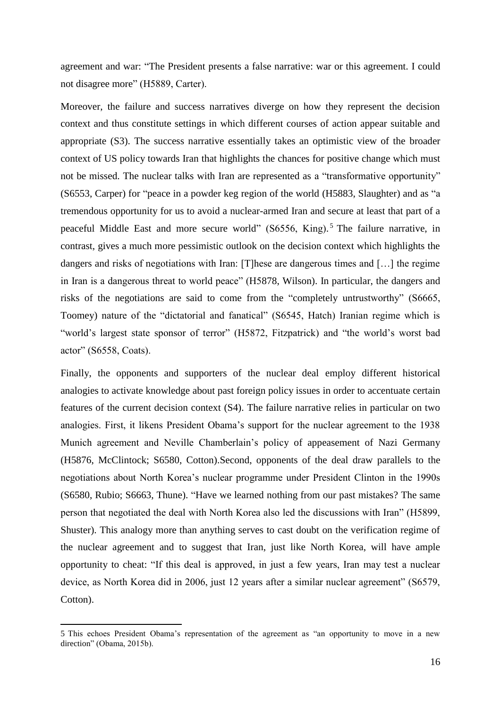agreement and war: "The President presents a false narrative: war or this agreement. I could not disagree more" (H5889, Carter).

Moreover, the failure and success narratives diverge on how they represent the decision context and thus constitute settings in which different courses of action appear suitable and appropriate (S3). The success narrative essentially takes an optimistic view of the broader context of US policy towards Iran that highlights the chances for positive change which must not be missed. The nuclear talks with Iran are represented as a "transformative opportunity" (S6553, Carper) for "peace in a powder keg region of the world (H5883, Slaughter) and as "a tremendous opportunity for us to avoid a nuclear-armed Iran and secure at least that part of a peaceful Middle East and more secure world" (S6556, King).<sup>5</sup> The failure narrative, in contrast, gives a much more pessimistic outlook on the decision context which highlights the dangers and risks of negotiations with Iran: [T]hese are dangerous times and […] the regime in Iran is a dangerous threat to world peace" (H5878, Wilson). In particular, the dangers and risks of the negotiations are said to come from the "completely untrustworthy" (S6665, Toomey) nature of the "dictatorial and fanatical" (S6545, Hatch) Iranian regime which is "world's largest state sponsor of terror" (H5872, Fitzpatrick) and "the world's worst bad actor" (S6558, Coats).

Finally, the opponents and supporters of the nuclear deal employ different historical analogies to activate knowledge about past foreign policy issues in order to accentuate certain features of the current decision context (S4). The failure narrative relies in particular on two analogies. First, it likens President Obama's support for the nuclear agreement to the 1938 Munich agreement and Neville Chamberlain's policy of appeasement of Nazi Germany (H5876, McClintock; S6580, Cotton).Second, opponents of the deal draw parallels to the negotiations about North Korea's nuclear programme under President Clinton in the 1990s (S6580, Rubio; S6663, Thune). "Have we learned nothing from our past mistakes? The same person that negotiated the deal with North Korea also led the discussions with Iran" (H5899, Shuster). This analogy more than anything serves to cast doubt on the verification regime of the nuclear agreement and to suggest that Iran, just like North Korea, will have ample opportunity to cheat: "If this deal is approved, in just a few years, Iran may test a nuclear device, as North Korea did in 2006, just 12 years after a similar nuclear agreement" (S6579, Cotton).

**.** 

<sup>5</sup> This echoes President Obama's representation of the agreement as "an opportunity to move in a new direction" (Obama, 2015b).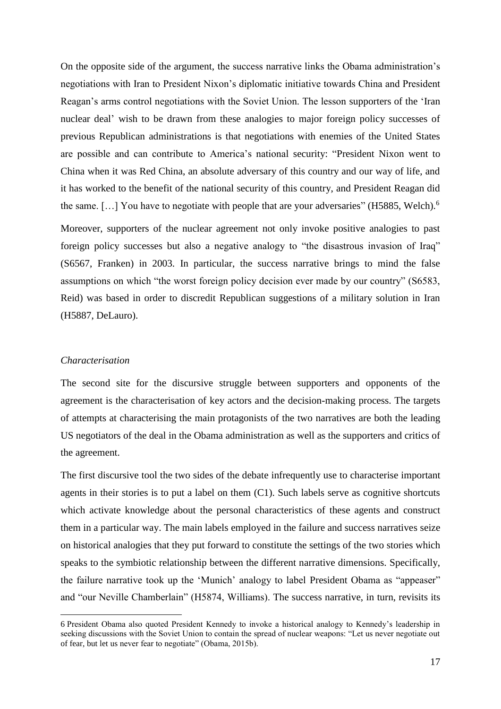On the opposite side of the argument, the success narrative links the Obama administration's negotiations with Iran to President Nixon's diplomatic initiative towards China and President Reagan's arms control negotiations with the Soviet Union. The lesson supporters of the 'Iran nuclear deal' wish to be drawn from these analogies to major foreign policy successes of previous Republican administrations is that negotiations with enemies of the United States are possible and can contribute to America's national security: "President Nixon went to China when it was Red China, an absolute adversary of this country and our way of life, and it has worked to the benefit of the national security of this country, and President Reagan did the same. [...] You have to negotiate with people that are your adversaries" (H5885, Welch).<sup>6</sup>

Moreover, supporters of the nuclear agreement not only invoke positive analogies to past foreign policy successes but also a negative analogy to "the disastrous invasion of Iraq" (S6567, Franken) in 2003. In particular, the success narrative brings to mind the false assumptions on which "the worst foreign policy decision ever made by our country" (S6583, Reid) was based in order to discredit Republican suggestions of a military solution in Iran (H5887, DeLauro).

#### *Characterisation*

1

The second site for the discursive struggle between supporters and opponents of the agreement is the characterisation of key actors and the decision-making process. The targets of attempts at characterising the main protagonists of the two narratives are both the leading US negotiators of the deal in the Obama administration as well as the supporters and critics of the agreement.

The first discursive tool the two sides of the debate infrequently use to characterise important agents in their stories is to put a label on them  $(C1)$ . Such labels serve as cognitive shortcuts which activate knowledge about the personal characteristics of these agents and construct them in a particular way. The main labels employed in the failure and success narratives seize on historical analogies that they put forward to constitute the settings of the two stories which speaks to the symbiotic relationship between the different narrative dimensions. Specifically, the failure narrative took up the 'Munich' analogy to label President Obama as "appeaser" and "our Neville Chamberlain" (H5874, Williams). The success narrative, in turn, revisits its

<sup>6</sup> President Obama also quoted President Kennedy to invoke a historical analogy to Kennedy's leadership in seeking discussions with the Soviet Union to contain the spread of nuclear weapons: "Let us never negotiate out of fear, but let us never fear to negotiate" (Obama, 2015b).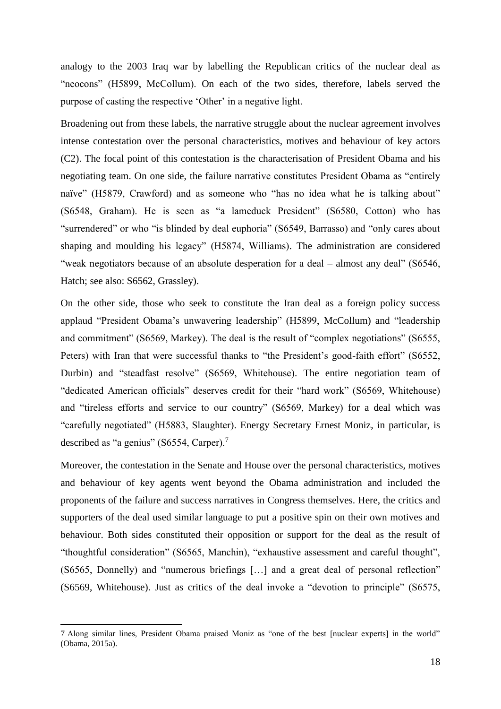analogy to the 2003 Iraq war by labelling the Republican critics of the nuclear deal as "neocons" (H5899, McCollum). On each of the two sides, therefore, labels served the purpose of casting the respective 'Other' in a negative light.

Broadening out from these labels, the narrative struggle about the nuclear agreement involves intense contestation over the personal characteristics, motives and behaviour of key actors (C2). The focal point of this contestation is the characterisation of President Obama and his negotiating team. On one side, the failure narrative constitutes President Obama as "entirely naïve" (H5879, Crawford) and as someone who "has no idea what he is talking about" (S6548, Graham). He is seen as "a lameduck President" (S6580, Cotton) who has "surrendered" or who "is blinded by deal euphoria" (S6549, Barrasso) and "only cares about shaping and moulding his legacy" (H5874, Williams). The administration are considered "weak negotiators because of an absolute desperation for a deal – almost any deal" (S6546, Hatch; see also: S6562, Grassley).

On the other side, those who seek to constitute the Iran deal as a foreign policy success applaud "President Obama's unwavering leadership" (H5899, McCollum) and "leadership and commitment" (S6569, Markey). The deal is the result of "complex negotiations" (S6555, Peters) with Iran that were successful thanks to "the President's good-faith effort" (S6552, Durbin) and "steadfast resolve" (S6569, Whitehouse). The entire negotiation team of "dedicated American officials" deserves credit for their "hard work" (S6569, Whitehouse) and "tireless efforts and service to our country" (S6569, Markey) for a deal which was "carefully negotiated" (H5883, Slaughter). Energy Secretary Ernest Moniz, in particular, is described as "a genius" (S6554, Carper).<sup>7</sup>

Moreover, the contestation in the Senate and House over the personal characteristics, motives and behaviour of key agents went beyond the Obama administration and included the proponents of the failure and success narratives in Congress themselves. Here, the critics and supporters of the deal used similar language to put a positive spin on their own motives and behaviour. Both sides constituted their opposition or support for the deal as the result of "thoughtful consideration" (S6565, Manchin), "exhaustive assessment and careful thought", (S6565, Donnelly) and "numerous briefings […] and a great deal of personal reflection" (S6569, Whitehouse). Just as critics of the deal invoke a "devotion to principle" (S6575,

**.** 

<sup>7</sup> Along similar lines, President Obama praised Moniz as "one of the best [nuclear experts] in the world" (Obama, 2015a).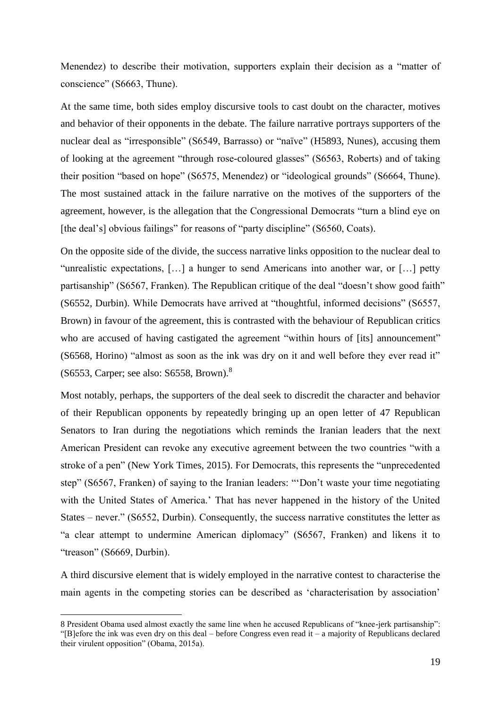Menendez) to describe their motivation, supporters explain their decision as a "matter of conscience" (S6663, Thune).

At the same time, both sides employ discursive tools to cast doubt on the character, motives and behavior of their opponents in the debate. The failure narrative portrays supporters of the nuclear deal as "irresponsible" (S6549, Barrasso) or "naïve" (H5893, Nunes), accusing them of looking at the agreement "through rose-coloured glasses" (S6563, Roberts) and of taking their position "based on hope" (S6575, Menendez) or "ideological grounds" (S6664, Thune). The most sustained attack in the failure narrative on the motives of the supporters of the agreement, however, is the allegation that the Congressional Democrats "turn a blind eye on [the deal's] obvious failings" for reasons of "party discipline" (S6560, Coats).

On the opposite side of the divide, the success narrative links opposition to the nuclear deal to "unrealistic expectations, […] a hunger to send Americans into another war, or […] petty partisanship" (S6567, Franken). The Republican critique of the deal "doesn't show good faith" (S6552, Durbin). While Democrats have arrived at "thoughtful, informed decisions" (S6557, Brown) in favour of the agreement, this is contrasted with the behaviour of Republican critics who are accused of having castigated the agreement "within hours of [its] announcement" (S6568, Horino) "almost as soon as the ink was dry on it and well before they ever read it" (S6553, Carper; see also: S6558, Brown). 8

Most notably, perhaps, the supporters of the deal seek to discredit the character and behavior of their Republican opponents by repeatedly bringing up an open letter of 47 Republican Senators to Iran during the negotiations which reminds the Iranian leaders that the next American President can revoke any executive agreement between the two countries "with a stroke of a pen" (New York Times, 2015). For Democrats, this represents the "unprecedented step" (S6567, Franken) of saying to the Iranian leaders: "'Don't waste your time negotiating with the United States of America.' That has never happened in the history of the United States – never." (S6552, Durbin). Consequently, the success narrative constitutes the letter as "a clear attempt to undermine American diplomacy" (S6567, Franken) and likens it to "treason" (S6669, Durbin).

A third discursive element that is widely employed in the narrative contest to characterise the main agents in the competing stories can be described as 'characterisation by association'

1

<sup>8</sup> President Obama used almost exactly the same line when he accused Republicans of "knee-jerk partisanship": "[B]efore the ink was even dry on this deal – before Congress even read it – a majority of Republicans declared their virulent opposition" (Obama, 2015a).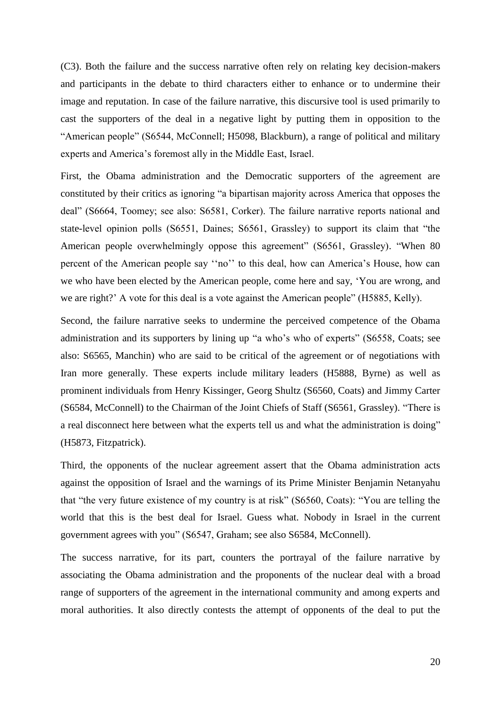(C3). Both the failure and the success narrative often rely on relating key decision-makers and participants in the debate to third characters either to enhance or to undermine their image and reputation. In case of the failure narrative, this discursive tool is used primarily to cast the supporters of the deal in a negative light by putting them in opposition to the "American people" (S6544, McConnell; H5098, Blackburn), a range of political and military experts and America's foremost ally in the Middle East, Israel.

First, the Obama administration and the Democratic supporters of the agreement are constituted by their critics as ignoring "a bipartisan majority across America that opposes the deal" (S6664, Toomey; see also: S6581, Corker). The failure narrative reports national and state-level opinion polls (S6551, Daines; S6561, Grassley) to support its claim that "the American people overwhelmingly oppose this agreement" (S6561, Grassley). "When 80 percent of the American people say ''no'' to this deal, how can America's House, how can we who have been elected by the American people, come here and say, 'You are wrong, and we are right?' A vote for this deal is a vote against the American people" (H5885, Kelly).

Second, the failure narrative seeks to undermine the perceived competence of the Obama administration and its supporters by lining up "a who's who of experts" (S6558, Coats; see also: S6565, Manchin) who are said to be critical of the agreement or of negotiations with Iran more generally. These experts include military leaders (H5888, Byrne) as well as prominent individuals from Henry Kissinger, Georg Shultz (S6560, Coats) and Jimmy Carter (S6584, McConnell) to the Chairman of the Joint Chiefs of Staff (S6561, Grassley). "There is a real disconnect here between what the experts tell us and what the administration is doing" (H5873, Fitzpatrick).

Third, the opponents of the nuclear agreement assert that the Obama administration acts against the opposition of Israel and the warnings of its Prime Minister Benjamin Netanyahu that "the very future existence of my country is at risk" (S6560, Coats): "You are telling the world that this is the best deal for Israel. Guess what. Nobody in Israel in the current government agrees with you" (S6547, Graham; see also S6584, McConnell).

The success narrative, for its part, counters the portrayal of the failure narrative by associating the Obama administration and the proponents of the nuclear deal with a broad range of supporters of the agreement in the international community and among experts and moral authorities. It also directly contests the attempt of opponents of the deal to put the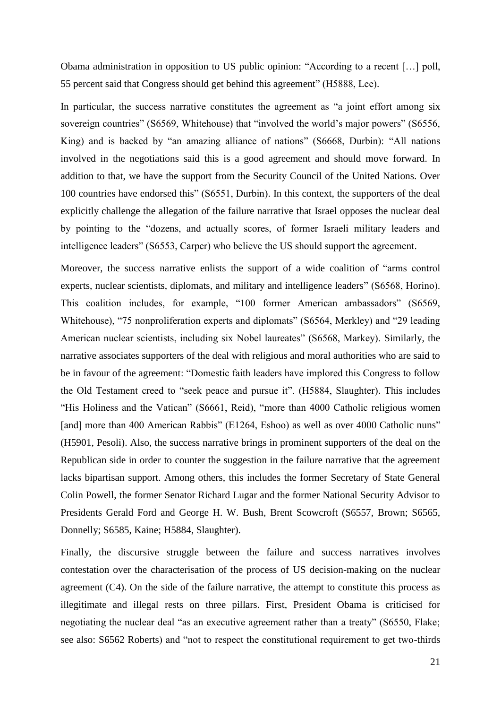Obama administration in opposition to US public opinion: "According to a recent […] poll, 55 percent said that Congress should get behind this agreement" (H5888, Lee).

In particular, the success narrative constitutes the agreement as "a joint effort among six sovereign countries" (S6569, Whitehouse) that "involved the world's major powers" (S6556, King) and is backed by "an amazing alliance of nations" (S6668, Durbin): "All nations involved in the negotiations said this is a good agreement and should move forward. In addition to that, we have the support from the Security Council of the United Nations. Over 100 countries have endorsed this" (S6551, Durbin). In this context, the supporters of the deal explicitly challenge the allegation of the failure narrative that Israel opposes the nuclear deal by pointing to the "dozens, and actually scores, of former Israeli military leaders and intelligence leaders" (S6553, Carper) who believe the US should support the agreement.

Moreover, the success narrative enlists the support of a wide coalition of "arms control experts, nuclear scientists, diplomats, and military and intelligence leaders" (S6568, Horino). This coalition includes, for example, "100 former American ambassadors" (S6569, Whitehouse), "75 nonproliferation experts and diplomats" (S6564, Merkley) and "29 leading American nuclear scientists, including six Nobel laureates" (S6568, Markey). Similarly, the narrative associates supporters of the deal with religious and moral authorities who are said to be in favour of the agreement: "Domestic faith leaders have implored this Congress to follow the Old Testament creed to "seek peace and pursue it". (H5884, Slaughter). This includes "His Holiness and the Vatican" (S6661, Reid), "more than 4000 Catholic religious women [and] more than 400 American Rabbis" (E1264, Eshoo) as well as over 4000 Catholic nuns" (H5901, Pesoli). Also, the success narrative brings in prominent supporters of the deal on the Republican side in order to counter the suggestion in the failure narrative that the agreement lacks bipartisan support. Among others, this includes the former Secretary of State General Colin Powell, the former Senator Richard Lugar and the former National Security Advisor to Presidents Gerald Ford and George H. W. Bush, Brent Scowcroft (S6557, Brown; S6565, Donnelly; S6585, Kaine; H5884, Slaughter).

Finally, the discursive struggle between the failure and success narratives involves contestation over the characterisation of the process of US decision-making on the nuclear agreement (C4). On the side of the failure narrative, the attempt to constitute this process as illegitimate and illegal rests on three pillars. First, President Obama is criticised for negotiating the nuclear deal "as an executive agreement rather than a treaty" (S6550, Flake; see also: S6562 Roberts) and "not to respect the constitutional requirement to get two-thirds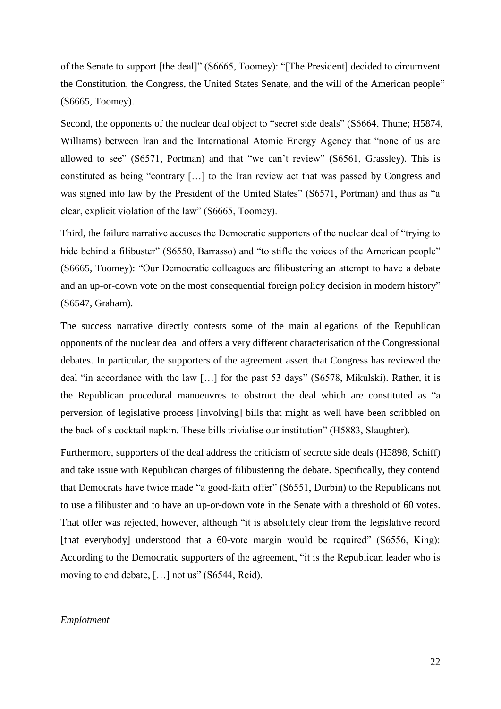of the Senate to support [the deal]" (S6665, Toomey): "[The President] decided to circumvent the Constitution, the Congress, the United States Senate, and the will of the American people" (S6665, Toomey).

Second, the opponents of the nuclear deal object to "secret side deals" (S6664, Thune; H5874, Williams) between Iran and the International Atomic Energy Agency that "none of us are allowed to see" (S6571, Portman) and that "we can't review" (S6561, Grassley). This is constituted as being "contrary […] to the Iran review act that was passed by Congress and was signed into law by the President of the United States" (S6571, Portman) and thus as "a clear, explicit violation of the law" (S6665, Toomey).

Third, the failure narrative accuses the Democratic supporters of the nuclear deal of "trying to hide behind a filibuster" (S6550, Barrasso) and "to stifle the voices of the American people" (S6665, Toomey): "Our Democratic colleagues are filibustering an attempt to have a debate and an up-or-down vote on the most consequential foreign policy decision in modern history" (S6547, Graham).

The success narrative directly contests some of the main allegations of the Republican opponents of the nuclear deal and offers a very different characterisation of the Congressional debates. In particular, the supporters of the agreement assert that Congress has reviewed the deal "in accordance with the law […] for the past 53 days" (S6578, Mikulski). Rather, it is the Republican procedural manoeuvres to obstruct the deal which are constituted as "a perversion of legislative process [involving] bills that might as well have been scribbled on the back of s cocktail napkin. These bills trivialise our institution" (H5883, Slaughter).

Furthermore, supporters of the deal address the criticism of secrete side deals (H5898, Schiff) and take issue with Republican charges of filibustering the debate. Specifically, they contend that Democrats have twice made "a good-faith offer" (S6551, Durbin) to the Republicans not to use a filibuster and to have an up-or-down vote in the Senate with a threshold of 60 votes. That offer was rejected, however, although "it is absolutely clear from the legislative record [that everybody] understood that a 60-vote margin would be required" (S6556, King): According to the Democratic supporters of the agreement, "it is the Republican leader who is moving to end debate, […] not us" (S6544, Reid).

#### *Emplotment*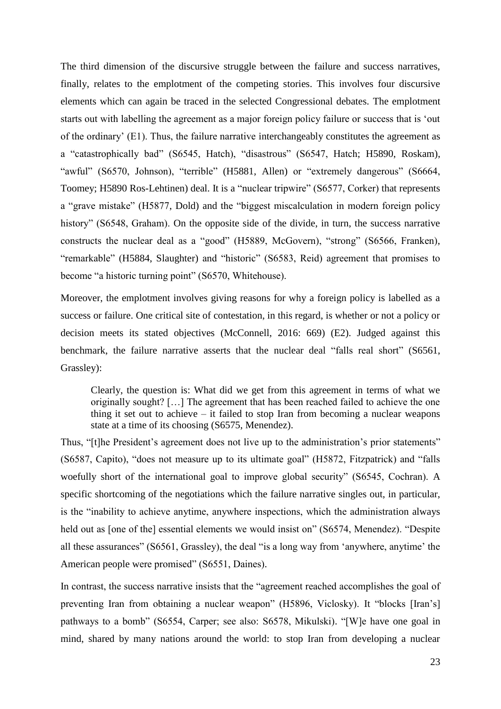The third dimension of the discursive struggle between the failure and success narratives, finally, relates to the emplotment of the competing stories. This involves four discursive elements which can again be traced in the selected Congressional debates. The emplotment starts out with labelling the agreement as a major foreign policy failure or success that is 'out of the ordinary' (E1). Thus, the failure narrative interchangeably constitutes the agreement as a "catastrophically bad" (S6545, Hatch), "disastrous" (S6547, Hatch; H5890, Roskam), "awful" (S6570, Johnson), "terrible" (H5881, Allen) or "extremely dangerous" (S6664, Toomey; H5890 Ros-Lehtinen) deal. It is a "nuclear tripwire" (S6577, Corker) that represents a "grave mistake" (H5877, Dold) and the "biggest miscalculation in modern foreign policy history" (S6548, Graham). On the opposite side of the divide, in turn, the success narrative constructs the nuclear deal as a "good" (H5889, McGovern), "strong" (S6566, Franken), "remarkable" (H5884, Slaughter) and "historic" (S6583, Reid) agreement that promises to become "a historic turning point" (S6570, Whitehouse).

Moreover, the emplotment involves giving reasons for why a foreign policy is labelled as a success or failure. One critical site of contestation, in this regard, is whether or not a policy or decision meets its stated objectives (McConnell, 2016: 669) (E2). Judged against this benchmark, the failure narrative asserts that the nuclear deal "falls real short" (S6561, Grassley):

Clearly, the question is: What did we get from this agreement in terms of what we originally sought? […] The agreement that has been reached failed to achieve the one thing it set out to achieve – it failed to stop Iran from becoming a nuclear weapons state at a time of its choosing (S6575, Menendez).

Thus, "[t]he President's agreement does not live up to the administration's prior statements" (S6587, Capito), "does not measure up to its ultimate goal" (H5872, Fitzpatrick) and "falls woefully short of the international goal to improve global security" (S6545, Cochran). A specific shortcoming of the negotiations which the failure narrative singles out, in particular, is the "inability to achieve anytime, anywhere inspections, which the administration always held out as [one of the] essential elements we would insist on" (S6574, Menendez). "Despite all these assurances" (S6561, Grassley), the deal "is a long way from 'anywhere, anytime' the American people were promised" (S6551, Daines).

In contrast, the success narrative insists that the "agreement reached accomplishes the goal of preventing Iran from obtaining a nuclear weapon" (H5896, Viclosky). It "blocks [Iran's] pathways to a bomb" (S6554, Carper; see also: S6578, Mikulski). "[W]e have one goal in mind, shared by many nations around the world: to stop Iran from developing a nuclear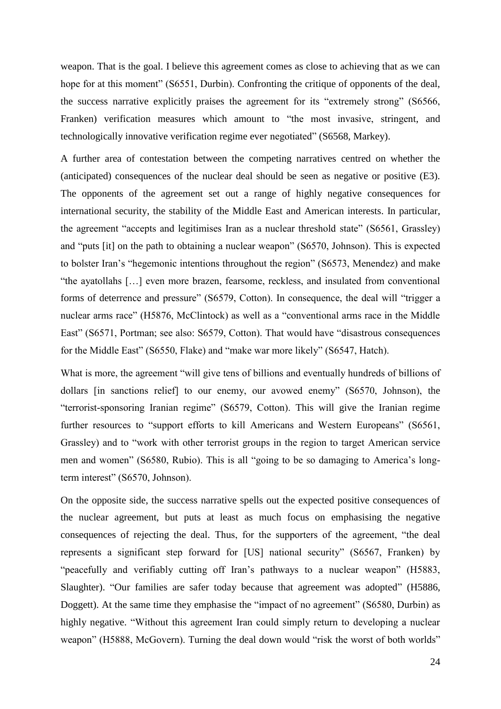weapon. That is the goal. I believe this agreement comes as close to achieving that as we can hope for at this moment" (S6551, Durbin). Confronting the critique of opponents of the deal, the success narrative explicitly praises the agreement for its "extremely strong" (S6566, Franken) verification measures which amount to "the most invasive, stringent, and technologically innovative verification regime ever negotiated" (S6568, Markey).

A further area of contestation between the competing narratives centred on whether the (anticipated) consequences of the nuclear deal should be seen as negative or positive (E3). The opponents of the agreement set out a range of highly negative consequences for international security, the stability of the Middle East and American interests. In particular, the agreement "accepts and legitimises Iran as a nuclear threshold state" (S6561, Grassley) and "puts [it] on the path to obtaining a nuclear weapon" (S6570, Johnson). This is expected to bolster Iran's "hegemonic intentions throughout the region" (S6573, Menendez) and make "the ayatollahs […] even more brazen, fearsome, reckless, and insulated from conventional forms of deterrence and pressure" (S6579, Cotton). In consequence, the deal will "trigger a nuclear arms race" (H5876, McClintock) as well as a "conventional arms race in the Middle East" (S6571, Portman; see also: S6579, Cotton). That would have "disastrous consequences for the Middle East" (S6550, Flake) and "make war more likely" (S6547, Hatch).

What is more, the agreement "will give tens of billions and eventually hundreds of billions of dollars [in sanctions relief] to our enemy, our avowed enemy" (S6570, Johnson), the "terrorist-sponsoring Iranian regime" (S6579, Cotton). This will give the Iranian regime further resources to "support efforts to kill Americans and Western Europeans" (S6561, Grassley) and to "work with other terrorist groups in the region to target American service men and women" (S6580, Rubio). This is all "going to be so damaging to America's longterm interest" (S6570, Johnson).

On the opposite side, the success narrative spells out the expected positive consequences of the nuclear agreement, but puts at least as much focus on emphasising the negative consequences of rejecting the deal. Thus, for the supporters of the agreement, "the deal represents a significant step forward for [US] national security" (S6567, Franken) by "peacefully and verifiably cutting off Iran's pathways to a nuclear weapon" (H5883, Slaughter). "Our families are safer today because that agreement was adopted" (H5886, Doggett). At the same time they emphasise the "impact of no agreement" (S6580, Durbin) as highly negative. "Without this agreement Iran could simply return to developing a nuclear weapon" (H5888, McGovern). Turning the deal down would "risk the worst of both worlds"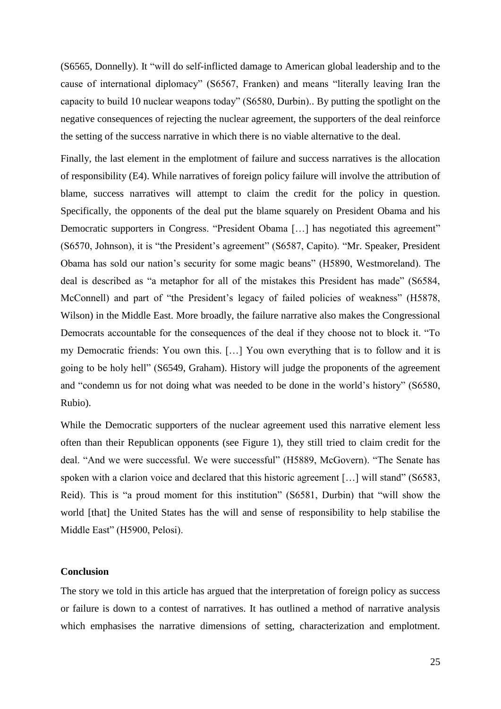(S6565, Donnelly). It "will do self-inflicted damage to American global leadership and to the cause of international diplomacy" (S6567, Franken) and means "literally leaving Iran the capacity to build 10 nuclear weapons today" (S6580, Durbin).. By putting the spotlight on the negative consequences of rejecting the nuclear agreement, the supporters of the deal reinforce the setting of the success narrative in which there is no viable alternative to the deal.

Finally, the last element in the emplotment of failure and success narratives is the allocation of responsibility (E4). While narratives of foreign policy failure will involve the attribution of blame, success narratives will attempt to claim the credit for the policy in question. Specifically, the opponents of the deal put the blame squarely on President Obama and his Democratic supporters in Congress. "President Obama […] has negotiated this agreement" (S6570, Johnson), it is "the President's agreement" (S6587, Capito). "Mr. Speaker, President Obama has sold our nation's security for some magic beans" (H5890, Westmoreland). The deal is described as "a metaphor for all of the mistakes this President has made" (S6584, McConnell) and part of "the President's legacy of failed policies of weakness" (H5878, Wilson) in the Middle East. More broadly, the failure narrative also makes the Congressional Democrats accountable for the consequences of the deal if they choose not to block it. "To my Democratic friends: You own this. […] You own everything that is to follow and it is going to be holy hell" (S6549, Graham). History will judge the proponents of the agreement and "condemn us for not doing what was needed to be done in the world's history" (S6580, Rubio).

While the Democratic supporters of the nuclear agreement used this narrative element less often than their Republican opponents (see Figure 1), they still tried to claim credit for the deal. "And we were successful. We were successful" (H5889, McGovern). "The Senate has spoken with a clarion voice and declared that this historic agreement [...] will stand" (S6583, Reid). This is "a proud moment for this institution" (S6581, Durbin) that "will show the world [that] the United States has the will and sense of responsibility to help stabilise the Middle East" (H5900, Pelosi).

#### **Conclusion**

The story we told in this article has argued that the interpretation of foreign policy as success or failure is down to a contest of narratives. It has outlined a method of narrative analysis which emphasises the narrative dimensions of setting, characterization and emplotment.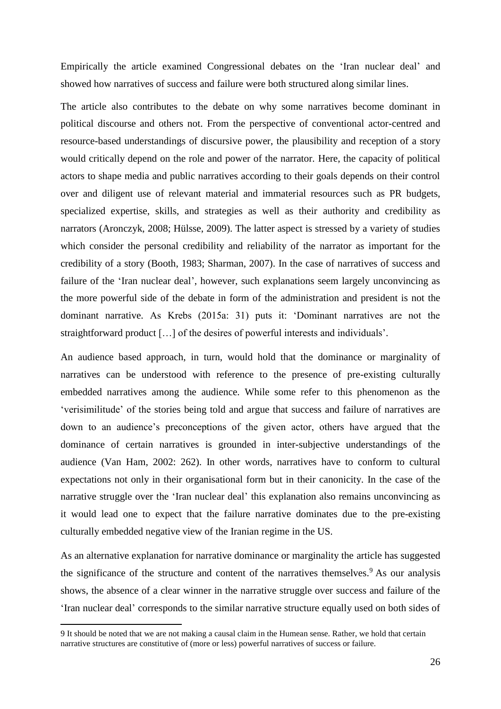Empirically the article examined Congressional debates on the 'Iran nuclear deal' and showed how narratives of success and failure were both structured along similar lines.

The article also contributes to the debate on why some narratives become dominant in political discourse and others not. From the perspective of conventional actor-centred and resource-based understandings of discursive power, the plausibility and reception of a story would critically depend on the role and power of the narrator. Here, the capacity of political actors to shape media and public narratives according to their goals depends on their control over and diligent use of relevant material and immaterial resources such as PR budgets, specialized expertise, skills, and strategies as well as their authority and credibility as narrators (Aronczyk, 2008; Hülsse, 2009). The latter aspect is stressed by a variety of studies which consider the personal credibility and reliability of the narrator as important for the credibility of a story (Booth, 1983; Sharman, 2007). In the case of narratives of success and failure of the 'Iran nuclear deal', however, such explanations seem largely unconvincing as the more powerful side of the debate in form of the administration and president is not the dominant narrative. As Krebs (2015a: 31) puts it: 'Dominant narratives are not the straightforward product […] of the desires of powerful interests and individuals'.

An audience based approach, in turn, would hold that the dominance or marginality of narratives can be understood with reference to the presence of pre-existing culturally embedded narratives among the audience. While some refer to this phenomenon as the 'verisimilitude' of the stories being told and argue that success and failure of narratives are down to an audience's preconceptions of the given actor, others have argued that the dominance of certain narratives is grounded in inter-subjective understandings of the audience (Van Ham, 2002: 262). In other words, narratives have to conform to cultural expectations not only in their organisational form but in their canonicity. In the case of the narrative struggle over the 'Iran nuclear deal' this explanation also remains unconvincing as it would lead one to expect that the failure narrative dominates due to the pre-existing culturally embedded negative view of the Iranian regime in the US.

As an alternative explanation for narrative dominance or marginality the article has suggested the significance of the structure and content of the narratives themselves.<sup>9</sup> As our analysis shows, the absence of a clear winner in the narrative struggle over success and failure of the 'Iran nuclear deal' corresponds to the similar narrative structure equally used on both sides of

**.** 

<sup>9</sup> It should be noted that we are not making a causal claim in the Humean sense. Rather, we hold that certain narrative structures are constitutive of (more or less) powerful narratives of success or failure.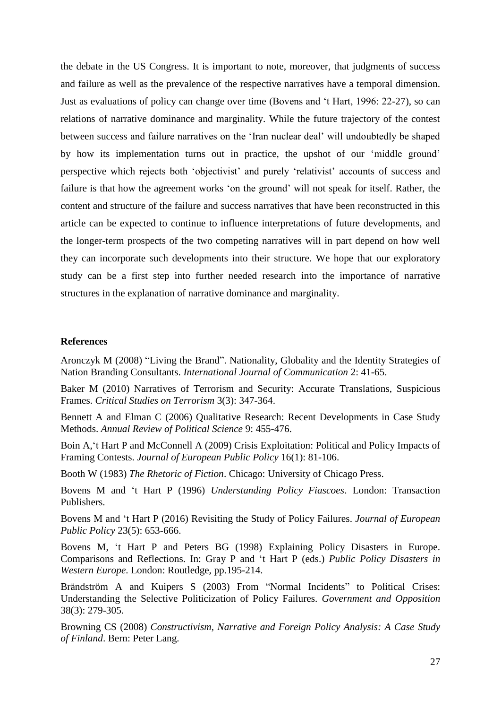the debate in the US Congress. It is important to note, moreover, that judgments of success and failure as well as the prevalence of the respective narratives have a temporal dimension. Just as evaluations of policy can change over time (Bovens and 't Hart, 1996: 22-27), so can relations of narrative dominance and marginality. While the future trajectory of the contest between success and failure narratives on the 'Iran nuclear deal' will undoubtedly be shaped by how its implementation turns out in practice, the upshot of our 'middle ground' perspective which rejects both 'objectivist' and purely 'relativist' accounts of success and failure is that how the agreement works 'on the ground' will not speak for itself. Rather, the content and structure of the failure and success narratives that have been reconstructed in this article can be expected to continue to influence interpretations of future developments, and the longer-term prospects of the two competing narratives will in part depend on how well they can incorporate such developments into their structure. We hope that our exploratory study can be a first step into further needed research into the importance of narrative structures in the explanation of narrative dominance and marginality.

#### **References**

Aronczyk M (2008) "Living the Brand". Nationality, Globality and the Identity Strategies of Nation Branding Consultants. *International Journal of Communication* 2: 41-65.

Baker M (2010) Narratives of Terrorism and Security: Accurate Translations, Suspicious Frames. *Critical Studies on Terrorism* 3(3): 347-364.

Bennett A and Elman C (2006) Qualitative Research: Recent Developments in Case Study Methods. *Annual Review of Political Science* 9: 455-476.

Boin A,'t Hart P and McConnell A (2009) Crisis Exploitation: Political and Policy Impacts of Framing Contests. *Journal of European Public Policy* 16(1): 81-106.

Booth W (1983) *The Rhetoric of Fiction*. Chicago: University of Chicago Press.

Bovens M and 't Hart P (1996) *Understanding Policy Fiascoes*. London: Transaction Publishers.

Bovens M and 't Hart P (2016) Revisiting the Study of Policy Failures. *Journal of European Public Policy* 23(5): 653-666.

Bovens M, 't Hart P and Peters BG (1998) Explaining Policy Disasters in Europe. Comparisons and Reflections. In: Gray P and 't Hart P (eds.) *Public Policy Disasters in Western Europe*. London: Routledge, pp.195-214.

Brändström A and Kuipers S (2003) From "Normal Incidents" to Political Crises: Understanding the Selective Politicization of Policy Failures. *Government and Opposition* 38(3): 279-305.

Browning CS (2008) *Constructivism, Narrative and Foreign Policy Analysis: A Case Study of Finland*. Bern: Peter Lang.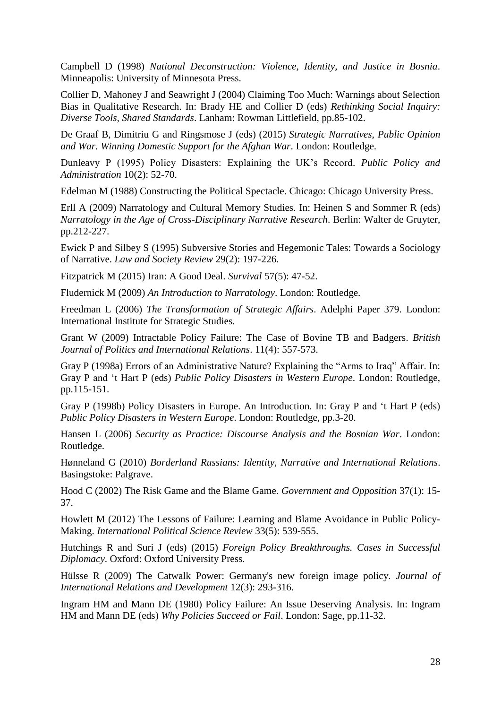Campbell D (1998) *National Deconstruction: Violence, Identity, and Justice in Bosnia*. Minneapolis: University of Minnesota Press.

Collier D, Mahoney J and Seawright J (2004) Claiming Too Much: Warnings about Selection Bias in Qualitative Research. In: Brady HE and Collier D (eds) *Rethinking Social Inquiry: Diverse Tools, Shared Standards*. Lanham: Rowman Littlefield, pp.85-102.

De Graaf B, Dimitriu G and Ringsmose J (eds) (2015) *Strategic Narratives, Public Opinion and War. Winning Domestic Support for the Afghan War*. London: Routledge.

Dunleavy P (1995) Policy Disasters: Explaining the UK's Record. *Public Policy and Administration* 10(2): 52-70.

Edelman M (1988) Constructing the Political Spectacle. Chicago: Chicago University Press.

Erll A (2009) Narratology and Cultural Memory Studies. In: Heinen S and Sommer R (eds) *Narratology in the Age of Cross-Disciplinary Narrative Research*. Berlin: Walter de Gruyter, pp.212-227.

Ewick P and Silbey S (1995) Subversive Stories and Hegemonic Tales: Towards a Sociology of Narrative. *Law and Society Review* 29(2): 197-226.

Fitzpatrick M (2015) Iran: A Good Deal. *Survival* 57(5): 47-52.

Fludernick M (2009) *An Introduction to Narratology*. London: Routledge.

Freedman L (2006) *The Transformation of Strategic Affairs*. Adelphi Paper 379. London: International Institute for Strategic Studies.

Grant W (2009) Intractable Policy Failure: The Case of Bovine TB and Badgers. *British Journal of Politics and International Relations*. 11(4): 557-573.

Gray P (1998a) Errors of an Administrative Nature? Explaining the "Arms to Iraq" Affair. In: Gray P and 't Hart P (eds) *Public Policy Disasters in Western Europe*. London: Routledge, pp.115-151.

Gray P (1998b) Policy Disasters in Europe. An Introduction. In: Gray P and 't Hart P (eds) *Public Policy Disasters in Western Europe*. London: Routledge, pp.3-20.

Hansen L (2006) *Security as Practice: Discourse Analysis and the Bosnian War*. London: Routledge.

Hønneland G (2010) *Borderland Russians: Identity, Narrative and International Relations*. Basingstoke: Palgrave.

Hood C (2002) The Risk Game and the Blame Game. *Government and Opposition* 37(1): 15- 37.

Howlett M (2012) The Lessons of Failure: Learning and Blame Avoidance in Public Policy-Making. *International Political Science Review* 33(5): 539-555.

Hutchings R and Suri J (eds) (2015) *Foreign Policy Breakthroughs. Cases in Successful Diplomacy*. Oxford: Oxford University Press.

Hülsse R (2009) The Catwalk Power: Germany's new foreign image policy. *Journal of International Relations and Development* 12(3): 293-316.

Ingram HM and Mann DE (1980) Policy Failure: An Issue Deserving Analysis. In: Ingram HM and Mann DE (eds) *Why Policies Succeed or Fail*. London: Sage, pp.11-32.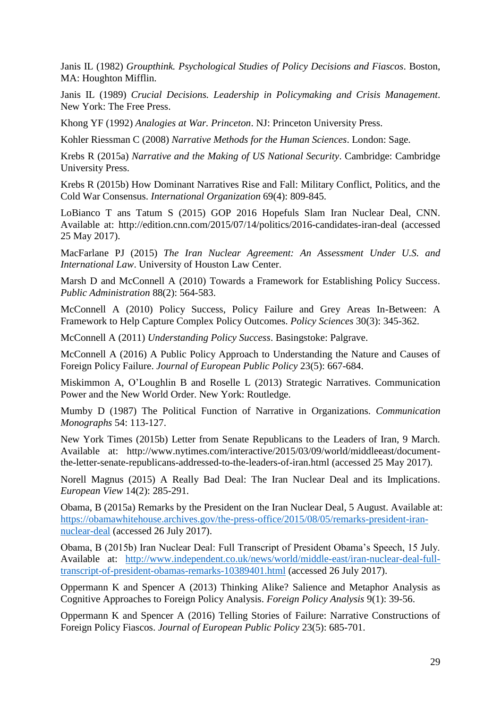Janis IL (1982) *Groupthink. Psychological Studies of Policy Decisions and Fiascos*. Boston, MA: Houghton Mifflin.

Janis IL (1989) *Crucial Decisions. Leadership in Policymaking and Crisis Management*. New York: The Free Press.

Khong YF (1992) *Analogies at War. Princeton*. NJ: Princeton University Press.

Kohler Riessman C (2008) *Narrative Methods for the Human Sciences*. London: Sage.

Krebs R (2015a) *Narrative and the Making of US National Security*. Cambridge: Cambridge University Press.

Krebs R (2015b) How Dominant Narratives Rise and Fall: Military Conflict, Politics, and the Cold War Consensus. *International Organization* 69(4): 809-845.

LoBianco T ans Tatum S (2015) GOP 2016 Hopefuls Slam Iran Nuclear Deal, CNN. Available at: http://edition.cnn.com/2015/07/14/politics/2016-candidates-iran-deal (accessed 25 May 2017).

MacFarlane PJ (2015) *The Iran Nuclear Agreement: An Assessment Under U.S. and International Law*. University of Houston Law Center.

Marsh D and McConnell A (2010) Towards a Framework for Establishing Policy Success. *Public Administration* 88(2): 564-583.

McConnell A (2010) Policy Success, Policy Failure and Grey Areas In-Between: A Framework to Help Capture Complex Policy Outcomes. *Policy Sciences* 30(3): 345-362.

McConnell A (2011) *Understanding Policy Success*. Basingstoke: Palgrave.

McConnell A (2016) A Public Policy Approach to Understanding the Nature and Causes of Foreign Policy Failure. *Journal of European Public Policy* 23(5): 667-684.

Miskimmon A, O'Loughlin B and Roselle L (2013) Strategic Narratives. Communication Power and the New World Order. New York: Routledge.

Mumby D (1987) The Political Function of Narrative in Organizations. *Communication Monographs* 54: 113-127.

New York Times (2015b) Letter from Senate Republicans to the Leaders of Iran, 9 March. Available at: http://www.nytimes.com/interactive/2015/03/09/world/middleeast/documentthe-letter-senate-republicans-addressed-to-the-leaders-of-iran.html (accessed 25 May 2017).

Norell Magnus (2015) A Really Bad Deal: The Iran Nuclear Deal and its Implications. *European View* 14(2): 285-291.

Obama, B (2015a) Remarks by the President on the Iran Nuclear Deal, 5 August. Available at: [https://obamawhitehouse.archives.gov/the-press-office/2015/08/05/remarks-president-iran](https://obamawhitehouse.archives.gov/the-press-office/2015/08/05/remarks-president-iran-nuclear-deal)[nuclear-deal](https://obamawhitehouse.archives.gov/the-press-office/2015/08/05/remarks-president-iran-nuclear-deal) (accessed 26 July 2017).

Obama, B (2015b) Iran Nuclear Deal: Full Transcript of President Obama's Speech, 15 July. Available at: [http://www.independent.co.uk/news/world/middle-east/iran-nuclear-deal-full](http://www.independent.co.uk/news/world/middle-east/iran-nuclear-deal-full-transcript-of-president-obamas-remarks-10389401.html)[transcript-of-president-obamas-remarks-10389401.html](http://www.independent.co.uk/news/world/middle-east/iran-nuclear-deal-full-transcript-of-president-obamas-remarks-10389401.html) (accessed 26 July 2017).

Oppermann K and Spencer A (2013) Thinking Alike? Salience and Metaphor Analysis as Cognitive Approaches to Foreign Policy Analysis. *Foreign Policy Analysis* 9(1): 39-56.

Oppermann K and Spencer A (2016) Telling Stories of Failure: Narrative Constructions of Foreign Policy Fiascos. *Journal of European Public Policy* 23(5): 685-701.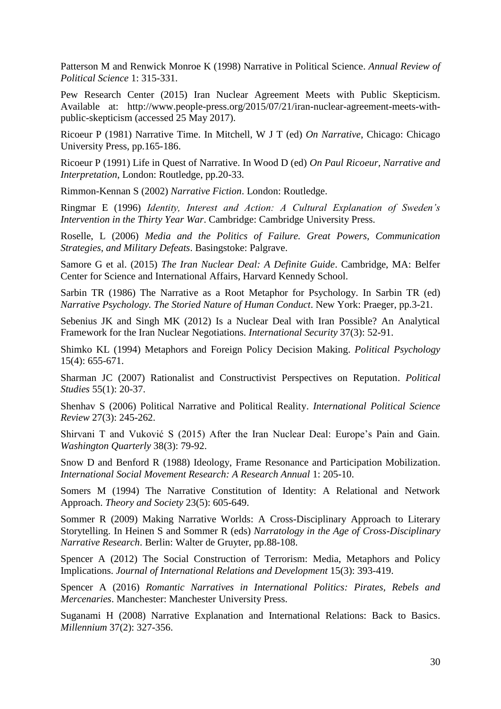Patterson M and Renwick Monroe K (1998) Narrative in Political Science. *Annual Review of Political Science* 1: 315-331.

Pew Research Center (2015) Iran Nuclear Agreement Meets with Public Skepticism. Available at: http://www.people-press.org/2015/07/21/iran-nuclear-agreement-meets-withpublic-skepticism (accessed 25 May 2017).

Ricoeur P (1981) Narrative Time. In Mitchell, W J T (ed) *On Narrative*, Chicago: Chicago University Press, pp.165-186.

Ricoeur P (1991) Life in Quest of Narrative. In Wood D (ed) *On Paul Ricoeur, Narrative and Interpretation*, London: Routledge, pp.20-33.

Rimmon-Kennan S (2002) *Narrative Fiction*. London: Routledge.

Ringmar E (1996) *Identity, Interest and Action: A Cultural Explanation of Sweden's Intervention in the Thirty Year War*. Cambridge: Cambridge University Press.

Roselle, L (2006) *Media and the Politics of Failure. Great Powers, Communication Strategies, and Military Defeats*. Basingstoke: Palgrave.

Samore G et al. (2015) *The Iran Nuclear Deal: A Definite Guide*. Cambridge, MA: Belfer Center for Science and International Affairs, Harvard Kennedy School.

Sarbin TR (1986) The Narrative as a Root Metaphor for Psychology. In Sarbin TR (ed) *Narrative Psychology. The Storied Nature of Human Conduct*. New York: Praeger, pp.3-21.

Sebenius JK and Singh MK (2012) Is a Nuclear Deal with Iran Possible? An Analytical Framework for the Iran Nuclear Negotiations. *International Security* 37(3): 52-91.

Shimko KL (1994) Metaphors and Foreign Policy Decision Making. *Political Psychology* 15(4): 655-671.

Sharman JC (2007) Rationalist and Constructivist Perspectives on Reputation. *Political Studies* 55(1): 20-37.

Shenhav S (2006) Political Narrative and Political Reality. *International Political Science Review* 27(3): 245-262.

Shirvani T and Vuković S (2015) After the Iran Nuclear Deal: Europe's Pain and Gain. *Washington Quarterly* 38(3): 79-92.

Snow D and Benford R (1988) Ideology, Frame Resonance and Participation Mobilization. *International Social Movement Research: A Research Annual* 1: 205-10.

Somers M (1994) The Narrative Constitution of Identity: A Relational and Network Approach. *Theory and Society* 23(5): 605-649.

Sommer R (2009) Making Narrative Worlds: A Cross-Disciplinary Approach to Literary Storytelling. In Heinen S and Sommer R (eds) *Narratology in the Age of Cross-Disciplinary Narrative Research*. Berlin: Walter de Gruyter, pp.88-108.

Spencer A (2012) The Social Construction of Terrorism: Media, Metaphors and Policy Implications. *Journal of International Relations and Development* 15(3): 393-419.

Spencer A (2016) *Romantic Narratives in International Politics: Pirates, Rebels and Mercenaries*. Manchester: Manchester University Press.

Suganami H (2008) Narrative Explanation and International Relations: Back to Basics. *Millennium* 37(2): 327-356.